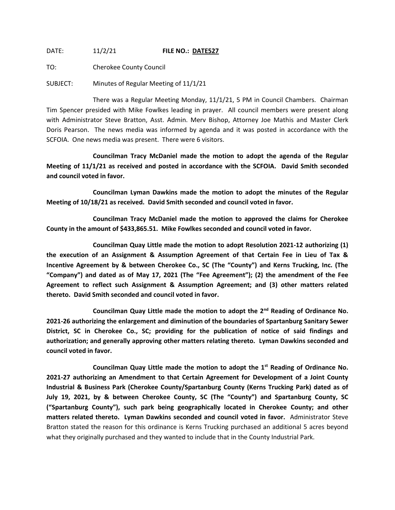DATE: 11/2/21 **FILE NO.: DATE527**

TO: Cherokee County Council

SUBJECT: Minutes of Regular Meeting of 11/1/21

There was a Regular Meeting Monday, 11/1/21, 5 PM in Council Chambers. Chairman Tim Spencer presided with Mike Fowlkes leading in prayer. All council members were present along with Administrator Steve Bratton, Asst. Admin. Merv Bishop, Attorney Joe Mathis and Master Clerk Doris Pearson. The news media was informed by agenda and it was posted in accordance with the SCFOIA. One news media was present. There were 6 visitors.

**Councilman Tracy McDaniel made the motion to adopt the agenda of the Regular Meeting of 11/1/21 as received and posted in accordance with the SCFOIA. David Smith seconded and council voted in favor.**

**Councilman Lyman Dawkins made the motion to adopt the minutes of the Regular Meeting of 10/18/21 as received. David Smith seconded and council voted in favor.**

**Councilman Tracy McDaniel made the motion to approved the claims for Cherokee County in the amount of \$433,865.51. Mike Fowlkes seconded and council voted in favor.**

**Councilman Quay Little made the motion to adopt Resolution 2021-12 authorizing (1) the execution of an Assignment & Assumption Agreement of that Certain Fee in Lieu of Tax & Incentive Agreement by & between Cherokee Co., SC (The "County") and Kerns Trucking, Inc. (The "Company") and dated as of May 17, 2021 (The "Fee Agreement"); (2) the amendment of the Fee Agreement to reflect such Assignment & Assumption Agreement; and (3) other matters related thereto. David Smith seconded and council voted in favor.**

**Councilman Quay Little made the motion to adopt the 2nd Reading of Ordinance No. 2021-26 authorizing the enlargement and diminution of the boundaries of Spartanburg Sanitary Sewer District, SC in Cherokee Co., SC; providing for the publication of notice of said findings and authorization; and generally approving other matters relating thereto. Lyman Dawkins seconded and council voted in favor.**

**Councilman Quay Little made the motion to adopt the 1st Reading of Ordinance No. 2021-27 authorizing an Amendment to that Certain Agreement for Development of a Joint County Industrial & Business Park (Cherokee County/Spartanburg County (Kerns Trucking Park) dated as of July 19, 2021, by & between Cherokee County, SC (The "County") and Spartanburg County, SC ("Spartanburg County"), such park being geographically located in Cherokee County; and other matters related thereto. Lyman Dawkins seconded and council voted in favor.** Administrator Steve Bratton stated the reason for this ordinance is Kerns Trucking purchased an additional 5 acres beyond what they originally purchased and they wanted to include that in the County Industrial Park.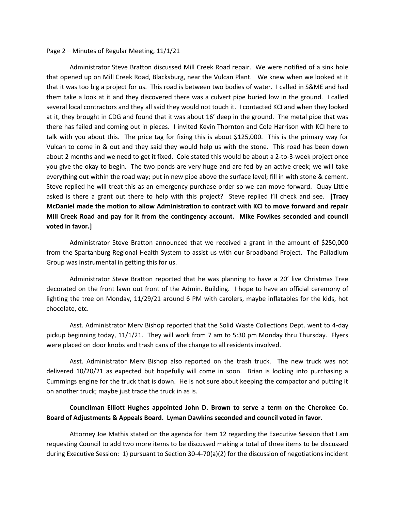## Page 2 – Minutes of Regular Meeting, 11/1/21

Administrator Steve Bratton discussed Mill Creek Road repair. We were notified of a sink hole that opened up on Mill Creek Road, Blacksburg, near the Vulcan Plant. We knew when we looked at it that it was too big a project for us. This road is between two bodies of water. I called in S&ME and had them take a look at it and they discovered there was a culvert pipe buried low in the ground. I called several local contractors and they all said they would not touch it. I contacted KCI and when they looked at it, they brought in CDG and found that it was about 16' deep in the ground. The metal pipe that was there has failed and coming out in pieces. I invited Kevin Thornton and Cole Harrison with KCI here to talk with you about this. The price tag for fixing this is about \$125,000. This is the primary way for Vulcan to come in & out and they said they would help us with the stone. This road has been down about 2 months and we need to get it fixed. Cole stated this would be about a 2-to-3-week project once you give the okay to begin. The two ponds are very huge and are fed by an active creek; we will take everything out within the road way; put in new pipe above the surface level; fill in with stone & cement. Steve replied he will treat this as an emergency purchase order so we can move forward. Quay Little asked is there a grant out there to help with this project? Steve replied I'll check and see. **[Tracy McDaniel made the motion to allow Administration to contract with KCI to move forward and repair Mill Creek Road and pay for it from the contingency account. Mike Fowlkes seconded and council voted in favor.]**

Administrator Steve Bratton announced that we received a grant in the amount of \$250,000 from the Spartanburg Regional Health System to assist us with our Broadband Project. The Palladium Group was instrumental in getting this for us.

Administrator Steve Bratton reported that he was planning to have a 20' live Christmas Tree decorated on the front lawn out front of the Admin. Building. I hope to have an official ceremony of lighting the tree on Monday, 11/29/21 around 6 PM with carolers, maybe inflatables for the kids, hot chocolate, etc.

Asst. Administrator Merv Bishop reported that the Solid Waste Collections Dept. went to 4-day pickup beginning today, 11/1/21. They will work from 7 am to 5:30 pm Monday thru Thursday. Flyers were placed on door knobs and trash cans of the change to all residents involved.

Asst. Administrator Merv Bishop also reported on the trash truck. The new truck was not delivered 10/20/21 as expected but hopefully will come in soon. Brian is looking into purchasing a Cummings engine for the truck that is down. He is not sure about keeping the compactor and putting it on another truck; maybe just trade the truck in as is.

## **Councilman Elliott Hughes appointed John D. Brown to serve a term on the Cherokee Co. Board of Adjustments & Appeals Board. Lyman Dawkins seconded and council voted in favor.**

Attorney Joe Mathis stated on the agenda for Item 12 regarding the Executive Session that I am requesting Council to add two more items to be discussed making a total of three items to be discussed during Executive Session: 1) pursuant to Section 30-4-70(a)(2) for the discussion of negotiations incident